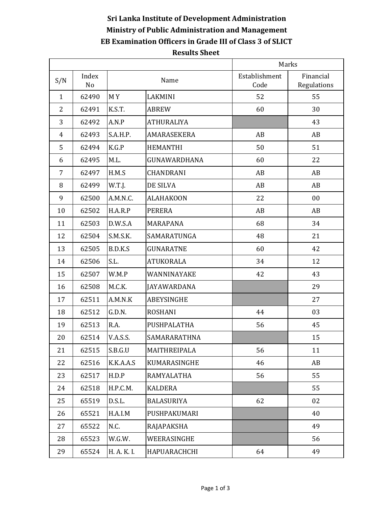## **Sri Lanka Institute of Development Administration Ministry of Public Administration and Management EB Examination Officers in Grade III of Class 3 of SLICT Results Sheet**

|                |                         |             | Marks              |                       |                          |
|----------------|-------------------------|-------------|--------------------|-----------------------|--------------------------|
| S/N            | Index<br>N <sub>o</sub> | Name        |                    | Establishment<br>Code | Financial<br>Regulations |
| $\mathbf{1}$   | 62490                   | MY          | LAKMINI            | 52                    | 55                       |
| $\overline{2}$ | 62491                   | K.S.T.      | <b>ABREW</b>       | 60                    | 30                       |
| 3              | 62492                   | A.N.P       | <b>ATHURALIYA</b>  |                       | 43                       |
| 4              | 62493                   | S.A.H.P.    | AMARASEKERA        | AB                    | AB                       |
| 5              | 62494                   | K.G.P       | <b>HEMANTHI</b>    | 50                    | 51                       |
| 6              | 62495                   | M.L.        | GUNAWARDHANA       | 60                    | 22                       |
| $\overline{7}$ | 62497                   | H.M.S       | CHANDRANI          | AB                    | AB                       |
| 8              | 62499                   | W.T.J.      | DE SILVA           | AB                    | AB                       |
| 9              | 62500                   | A.M.N.C.    | <b>ALAHAKOON</b>   | 22                    | 00                       |
| 10             | 62502                   | H.A.R.P     | <b>PERERA</b>      | AB                    | AB                       |
| 11             | 62503                   | D.W.S.A     | MARAPANA           | 68                    | 34                       |
| 12             | 62504                   | S.M.S.K.    | SAMARATUNGA        | 48                    | 21                       |
| 13             | 62505                   | B.D.K.S     | <b>GUNARATNE</b>   | 60                    | 42                       |
| 14             | 62506                   | S.L.        | <b>ATUKORALA</b>   | 34                    | 12                       |
| 15             | 62507                   | W.M.P       | WANNINAYAKE        | 42                    | 43                       |
| 16             | 62508                   | M.C.K.      | <b>JAYAWARDANA</b> |                       | 29                       |
| 17             | 62511                   | A.M.N.K     | <b>ABEYSINGHE</b>  |                       | 27                       |
| 18             | 62512                   | G.D.N.      | <b>ROSHANI</b>     | 44                    | 03                       |
| 19             | 62513                   | R.A.        | PUSHPALATHA        | 56                    | 45                       |
| 20             | 62514                   | V.A.S.S.    | SAMARARATHNA       |                       | 15                       |
| 21             | 62515                   | S.B.G.U     | MAITHREIPALA       | 56                    | 11                       |
| 22             | 62516                   | K.K.A.A.S   | KUMARASINGHE       | 46                    | AB                       |
| 23             | 62517                   | H.D.P       | RAMYALATHA         | 56                    | 55                       |
| 24             | 62518                   | H.P.C.M.    | <b>KALDERA</b>     |                       | 55                       |
| 25             | 65519                   | D.S.L.      | <b>BALASURIYA</b>  | 62                    | 02                       |
| 26             | 65521                   | H.A.I.M     | PUSHPAKUMARI       |                       | 40                       |
| 27             | 65522                   | N.C.        | RAJAPAKSHA         |                       | 49                       |
| 28             | 65523                   | W.G.W.      | WEERASINGHE        |                       | 56                       |
| 29             | 65524                   | H. A. K. I. | HAPUARACHCHI       | 64                    | 49                       |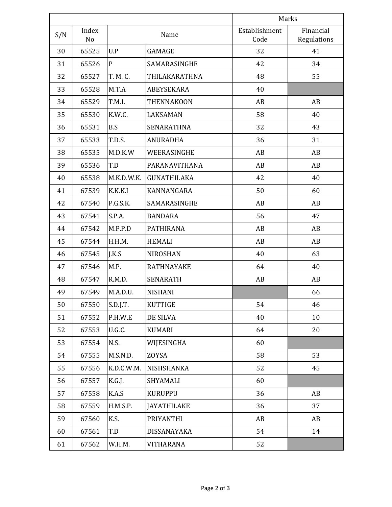|     |             |               | Marks              |                       |                          |
|-----|-------------|---------------|--------------------|-----------------------|--------------------------|
| S/N | Index<br>No |               | Name               | Establishment<br>Code | Financial<br>Regulations |
| 30  | 65525       | U.P           | GAMAGE             | 32                    | 41                       |
| 31  | 65526       | $\mathbf{P}$  | SAMARASINGHE       | 42                    | 34                       |
| 32  | 65527       | T. M. C.      | THILAKARATHNA      | 48                    | 55                       |
| 33  | 65528       | M.T.A         | ABEYSEKARA         | 40                    |                          |
| 34  | 65529       | T.M.I.        | <b>THENNAKOON</b>  | AB                    | AB                       |
| 35  | 65530       | K.W.C.        | LAKSAMAN           | 58                    | 40                       |
| 36  | 65531       | B.S           | <b>SENARATHNA</b>  | 32                    | 43                       |
| 37  | 65533       | <b>T.D.S.</b> | <b>ANURADHA</b>    | 36                    | 31                       |
| 38  | 65535       | M.D.K.W       | WEERASINGHE        | AB                    | AB                       |
| 39  | 65536       | T.D           | PARANAVITHANA      | AB                    | AB                       |
| 40  | 65538       | M.K.D.W.K.    | <b>GUNATHILAKA</b> | 42                    | 40                       |
| 41  | 67539       | K.K.K.I       | KANNANGARA         | 50                    | 60                       |
| 42  | 67540       | P.G.S.K.      | SAMARASINGHE       | AB                    | AB                       |
| 43  | 67541       | S.P.A.        | <b>BANDARA</b>     | 56                    | 47                       |
| 44  | 67542       | M.P.P.D       | <b>PATHIRANA</b>   | AB                    | AB                       |
| 45  | 67544       | H.H.M.        | <b>HEMALI</b>      | AB                    | AB                       |
| 46  | 67545       | J.K.S         | <b>NIROSHAN</b>    | 40                    | 63                       |
| 47  | 67546       | M.P.          | <b>RATHNAYAKE</b>  | 64                    | 40                       |
| 48  | 67547       | R.M.D.        | <b>SENARATH</b>    | AB                    | AB                       |
| 49  | 67549       | M.A.D.U.      | <b>NISHANI</b>     |                       | 66                       |
| 50  | 67550       | S.D.J.T.      | <b>KUTTIGE</b>     | 54                    | 46                       |
| 51  | 67552       | P.H.W.E       | DE SILVA           | 40                    | 10                       |
| 52  | 67553       | U.G.C.        | <b>KUMARI</b>      | 64                    | 20                       |
| 53  | 67554       | N.S.          | WIJESINGHA         | 60                    |                          |
| 54  | 67555       | M.S.N.D.      | ZOYSA              | 58                    | 53                       |
| 55  | 67556       | K.D.C.W.M.    | NISHSHANKA         | 52                    | 45                       |
| 56  | 67557       | K.G.J.        | SHYAMALI           | 60                    |                          |
| 57  | 67558       | K.A.S         | <b>KURUPPU</b>     | 36                    | AB                       |
| 58  | 67559       | H.M.S.P.      | <b>JAYATHILAKE</b> | 36                    | 37                       |
| 59  | 67560       | K.S.          | PRIYANTHI          | AB                    | AB                       |
| 60  | 67561       | T.D           | DISSANAYAKA        | 54                    | 14                       |
| 61  | 67562       | W.H.M.        | VITHARANA          | 52                    |                          |